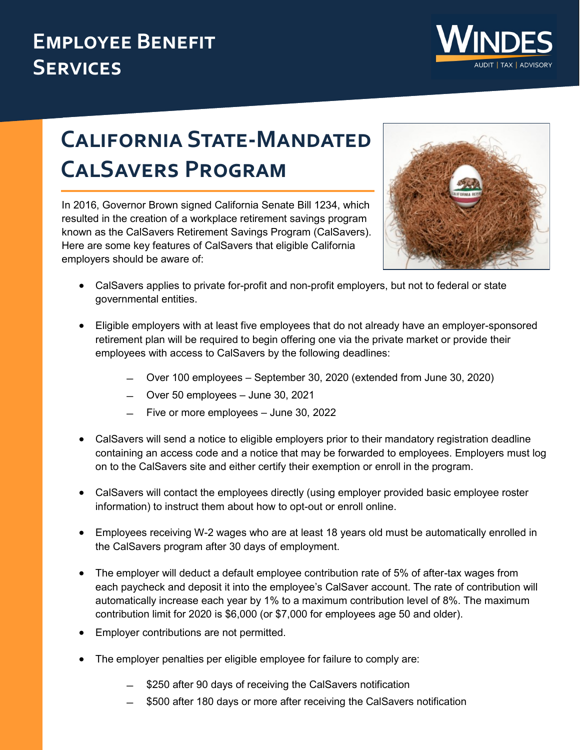## **Employee Benefit Services**



## **California State-Mandated CalSavers Program**

In 2016, Governor Brown signed California Senate Bill 1234, which resulted in the creation of a workplace retirement savings program known as the CalSavers Retirement Savings Program (CalSavers). Here are some key features of CalSavers that eligible California employers should be aware of:



- CalSavers applies to private for-profit and non-profit employers, but not to federal or state governmental entities.
- Eligible employers with at least five employees that do not already have an employer-sponsored retirement plan will be required to begin offering one via the private market or provide their employees with access to CalSavers by the following deadlines:
	- ̶ Over 100 employees September 30, 2020 (extended from June 30, 2020)
	- ̶ Over 50 employees June 30, 2021
	- ̶ Five or more employees June 30, 2022
- CalSavers will send a notice to eligible employers prior to their mandatory registration deadline containing an access code and a notice that may be forwarded to employees. Employers must log on to the CalSavers site and either certify their exemption or enroll in the program.
- CalSavers will contact the employees directly (using employer provided basic employee roster information) to instruct them about how to opt-out or enroll online.
- Employees receiving W-2 wages who are at least 18 years old must be automatically enrolled in the CalSavers program after 30 days of employment.
- The employer will deduct a default employee contribution rate of 5% of after-tax wages from each paycheck and deposit it into the employee's CalSaver account. The rate of contribution will automatically increase each year by 1% to a maximum contribution level of 8%. The maximum contribution limit for 2020 is \$6,000 (or \$7,000 for employees age 50 and older).
- Employer contributions are not permitted.
- The employer penalties per eligible employee for failure to comply are:
	- ̶ \$250 after 90 days of receiving the CalSavers notification
	- ̶ \$500 after 180 days or more after receiving the CalSavers notification